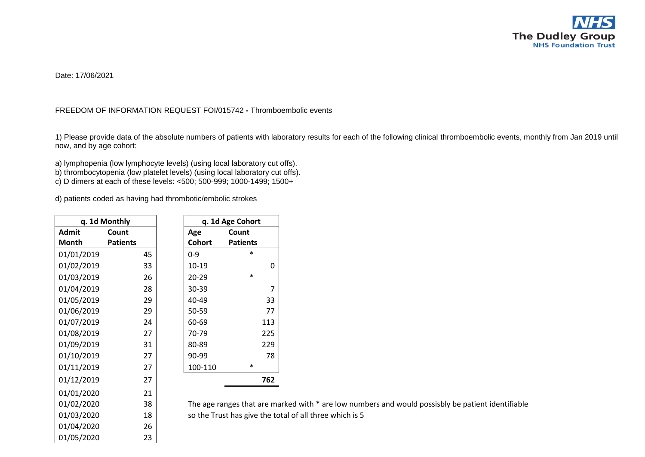

Date: 17/06/2021

## FREEDOM OF INFORMATION REQUEST FOI/015742 **-** Thromboembolic events

1) Please provide data of the absolute numbers of patients with laboratory results for each of the following clinical thromboembolic events, monthly from Jan 2019 until now, and by age cohort:

a) lymphopenia (low lymphocyte levels) (using local laboratory cut offs). b) thrombocytopenia (low platelet levels) (using local laboratory cut offs). c) D dimers at each of these levels: <500; 500-999; 1000-1499; 1500+

d) patients coded as having had thrombotic/embolic strokes

|            | q. 1d Monthly   |               | q. 1d Age Cohort            |
|------------|-----------------|---------------|-----------------------------|
| Admit      | Count           | Age           | Count                       |
| Month      | <b>Patients</b> | <b>Cohort</b> | <b>Patients</b>             |
| 01/01/2019 | 45              | $0 - 9$       | $\ast$                      |
| 01/02/2019 | 33              | 10-19         | 0                           |
| 01/03/2019 | 26              | 20-29         | $\ast$                      |
| 01/04/2019 | 28              | 30-39         | 7                           |
| 01/05/2019 | 29              | 40-49         | 33                          |
| 01/06/2019 | 29              | 50-59         | 77                          |
| 01/07/2019 | 24              | 60-69         | 113                         |
| 01/08/2019 | 27              | 70-79         | 225                         |
| 01/09/2019 | 31              | 80-89         | 229                         |
| 01/10/2019 | 27              | 90-99         | 78                          |
| 01/11/2019 | 27              | 100-110       | *                           |
| 01/12/2019 | 27              |               | 762                         |
| 01/01/2020 | 21              |               |                             |
| 01/02/2020 | 38              |               | The age ranges that are n   |
| 01/03/2020 | 18              |               | so the Trust has give the t |

01/04/2020 26 01/05/2020 23

 $0.01$  marked with  $*$  are low numbers and would possisbly be patient identifiable e total of all three which is 5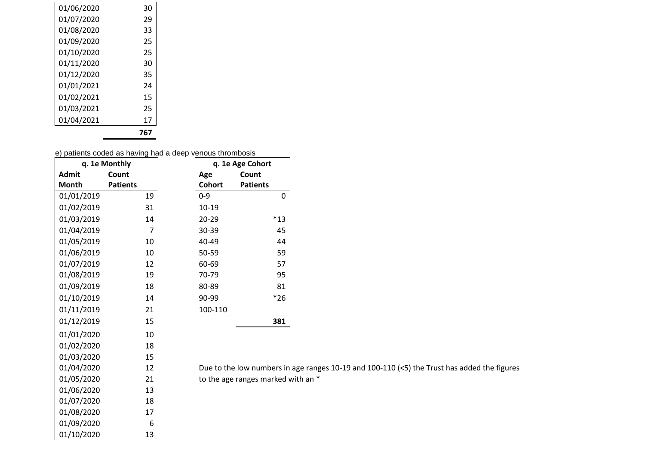| 01/06/2020 | 30  |  |
|------------|-----|--|
| 01/07/2020 | 29  |  |
| 01/08/2020 | 33  |  |
| 01/09/2020 | 25  |  |
| 01/10/2020 | 25  |  |
| 01/11/2020 | 30  |  |
| 01/12/2020 | 35  |  |
| 01/01/2021 | 24  |  |
| 01/02/2021 | 15  |  |
| 01/03/2021 | 25  |  |
| 01/04/2021 | 17  |  |
|            | 767 |  |

01/09/2020 6<br>01/10/2020 13

01/10/2020

e) patients coded as having had a deep venous thrombosis

|              | q. 1e Monthly   |               | q. 1e Age Cohort         |
|--------------|-----------------|---------------|--------------------------|
| <b>Admit</b> | Count           | Age           | Count                    |
| <b>Month</b> | <b>Patients</b> | <b>Cohort</b> | <b>Patients</b>          |
| 01/01/2019   | 19              | $0 - 9$       | 0                        |
| 01/02/2019   | 31              | 10-19         |                          |
| 01/03/2019   | 14              | 20-29         | $*13$                    |
| 01/04/2019   | 7               | 30-39         | 45                       |
| 01/05/2019   | 10              | 40-49         | 44                       |
| 01/06/2019   | 10              | 50-59         | 59                       |
| 01/07/2019   | 12              | 60-69         | 57                       |
| 01/08/2019   | 19              | 70-79         | 95                       |
| 01/09/2019   | 18              | 80-89         | 81                       |
| 01/10/2019   | 14              | 90-99         | $*26$                    |
| 01/11/2019   | 21              | 100-110       |                          |
| 01/12/2019   | 15              |               | 381                      |
| 01/01/2020   | 10              |               |                          |
| 01/02/2020   | 18              |               |                          |
| 01/03/2020   | 15              |               |                          |
| 01/04/2020   | 12              |               | Due to the low numbers i |
| 01/05/2020   | 21              |               | to the age ranges marked |
| 01/06/2020   | 13              |               |                          |
| 01/07/2020   | 18              |               |                          |
| 01/08/2020   | 17              |               |                          |

rs in age ranges 10-19 and 100-110 (<5) the Trust has added the figures  $\epsilon$ ed with an  $^*$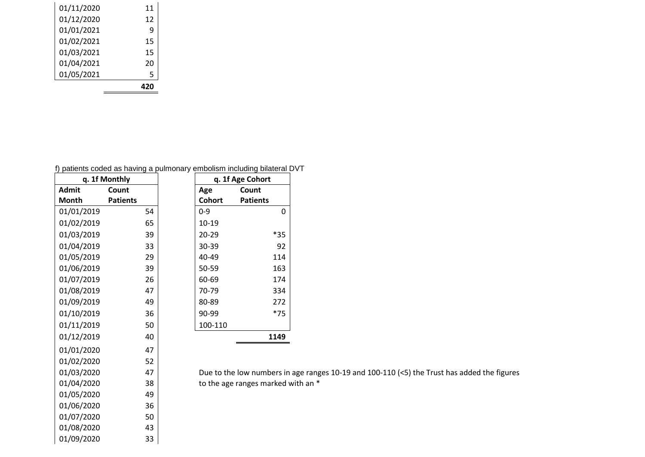| 01/05/2021 | 5  |
|------------|----|
| 01/04/2021 | 20 |
| 01/03/2021 | 15 |
| 01/02/2021 | 15 |
| 01/01/2021 | q  |
| 01/12/2020 | 12 |
| 01/11/2020 | 11 |
|            |    |

|  |  |  | f) patients coded as having a pulmonary embolism including bilateral DVT |  |  |
|--|--|--|--------------------------------------------------------------------------|--|--|
|  |  |  |                                                                          |  |  |

|              | q. 1f Monthly   |               | q. 1f Age Cohort         |
|--------------|-----------------|---------------|--------------------------|
| <b>Admit</b> | Count           | Age           | Count                    |
| <b>Month</b> | <b>Patients</b> | <b>Cohort</b> | <b>Patients</b>          |
| 01/01/2019   | 54              | $0 - 9$       | 0                        |
| 01/02/2019   | 65              | 10-19         |                          |
| 01/03/2019   | 39              | $20 - 29$     | $*35$                    |
| 01/04/2019   | 33              | 30-39         | 92                       |
| 01/05/2019   | 29              | 40-49         | 114                      |
| 01/06/2019   | 39              | 50-59         | 163                      |
| 01/07/2019   | 26              | 60-69         | 174                      |
| 01/08/2019   | 47              | 70-79         | 334                      |
| 01/09/2019   | 49              | 80-89         | 272                      |
| 01/10/2019   | 36              | 90-99         | $*75$                    |
| 01/11/2019   | 50              | 100-110       |                          |
| 01/12/2019   | 40              |               | 1149                     |
| 01/01/2020   | 47              |               |                          |
| 01/02/2020   | 52              |               |                          |
| 01/03/2020   | 47              |               | Due to the low numbers i |
| 01/04/2020   | 38              |               | to the age ranges marked |
| 01/05/2020   | 49              |               |                          |
| 01/06/2020   | 36              |               |                          |
| 01/07/2020   | 50              |               |                          |
| 01/08/2020   | 43              |               |                          |
| 01/09/2020   | 33              |               |                          |

mbers in age ranges 10-19 and 100-110 (<5) the Trust has added the figures marked with an  $*$